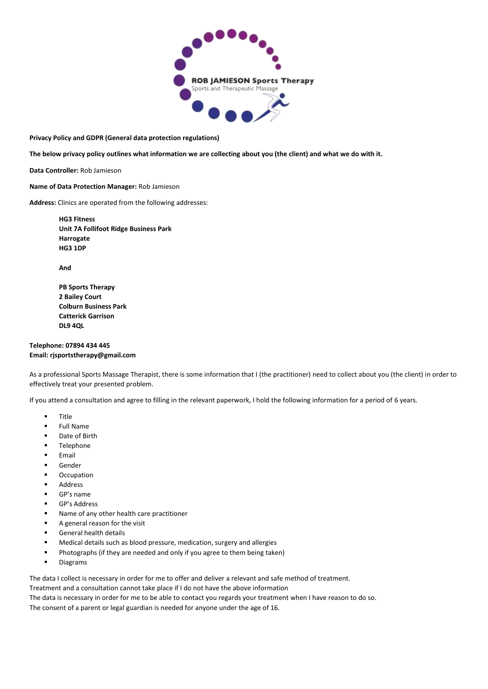

**Privacy Policy and GDPR (General data protection regulations)** 

**The below privacy policy outlines what information we are collecting about you (the client) and what we do with it.** 

**Data Controller:** Rob Jamieson

**Name of Data Protection Manager:** Rob Jamieson

**Address:** Clinics are operated from the following addresses:

**HG3 Fitness Unit 7A Follifoot Ridge Business Park Harrogate HG3 1DP**

**And** 

**PB Sports Therapy 2 Bailey Court Colburn Business Park Catterick Garrison DL9 4QL** 

## **Telephone: 07894 434 445 Email: rjsportstherapy@gmail.com**

As a professional Sports Massage Therapist, there is some information that I (the practitioner) need to collect about you (the client) in order to effectively treat your presented problem.

If you attend a consultation and agree to filling in the relevant paperwork, I hold the following information for a period of 6 years.

- **Title**
- **Full Name**
- Date of Birth
- **Telephone**
- **Email**
- Gender
- **Occupation**
- Address
- GP's name
- GP's Address
- Name of any other health care practitioner
- A general reason for the visit
- General health details
- Medical details such as blood pressure, medication, surgery and allergies
- Photographs (if they are needed and only if you agree to them being taken)
- Diagrams

The data I collect is necessary in order for me to offer and deliver a relevant and safe method of treatment.

Treatment and a consultation cannot take place if I do not have the above information

The data is necessary in order for me to be able to contact you regards your treatment when I have reason to do so.

The consent of a parent or legal guardian is needed for anyone under the age of 16.